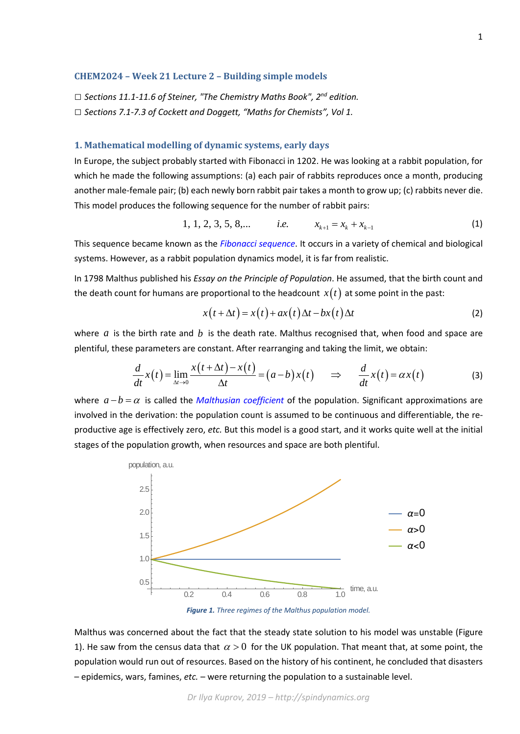#### **CHEM2024 – Week 21 Lecture 2 – Building simple models**

*□ Sections 11.1-11.6 of Steiner, "The Chemistry Maths Book", 2nd edition. □ Sections 7.1-7.3 of Cockett and Doggett, "Maths for Chemists", Vol 1.*

## **1. Mathematical modelling of dynamic systems, early days**

In Europe, the subject probably started with Fibonacci in 1202. He was looking at a rabbit population, for which he made the following assumptions: (a) each pair of rabbits reproduces once a month, producing another male-female pair; (b) each newly born rabbit pair takes a month to grow up; (c) rabbits never die. This model produces the following sequence for the number of rabbit pairs:

$$
1, 1, 2, 3, 5, 8, \dots \t i.e. \t x_{k+1} = x_k + x_{k-1} \t (1)
$$

This sequence became known as the *Fibonacci sequence*. It occurs in a variety of chemical and biological systems. However, as a rabbit population dynamics model, it is far from realistic.

In 1798 Malthus published his *Essay on the Principle of Population*. He assumed, that the birth count and the death count for humans are proportional to the headcount  $x(t)$  at some point in the past:

$$
x(t + \Delta t) = x(t) + ax(t)\Delta t - bx(t)\Delta t
$$
\n(2)

where *a* is the birth rate and *b* is the death rate. Malthus recognised that, when food and space are plentiful, these parameters are constant. After rearranging and taking the limit, we obtain:

$$
\frac{d}{dt}x(t) = \lim_{\Delta t \to 0} \frac{x(t + \Delta t) - x(t)}{\Delta t} = (a - b)x(t) \implies \frac{d}{dt}x(t) = \alpha x(t)
$$
\n(3)

where  $a - b = \alpha$  is called the *Malthusian coefficient* of the population. Significant approximations are involved in the derivation: the population count is assumed to be continuous and differentiable, the reproductive age is effectively zero, *etc.* But this model is a good start, and it works quite well at the initial stages of the population growth, when resources and space are both plentiful.



*Figure 1. Three regimes of the Malthus population model.*

Malthus was concerned about the fact that the steady state solution to his model was unstable (Figure 1). He saw from the census data that  $\alpha > 0$  for the UK population. That meant that, at some point, the population would run out of resources. Based on the history of his continent, he concluded that disasters – epidemics, wars, famines, *etc.* – were returning the population to a sustainable level.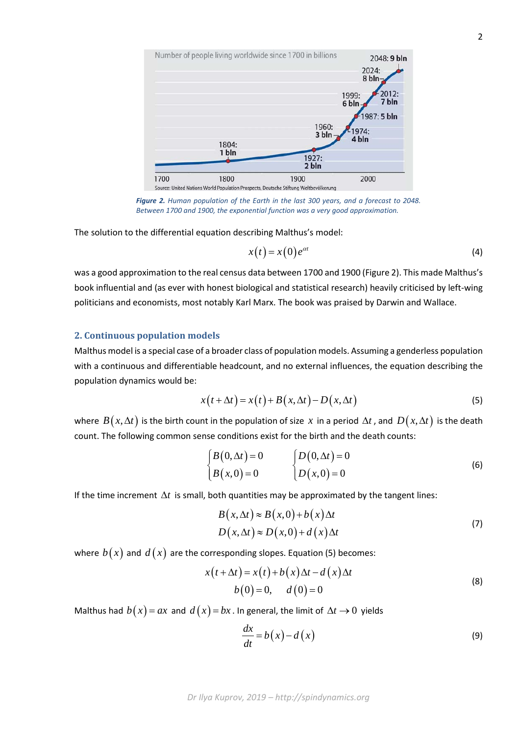2



*Figure 2. Human population of the Earth in the last 300 years, and a forecast to 2048. Between 1700 and 1900, the exponential function was a very good approximation.*

The solution to the differential equation describing Malthus's model:

$$
x(t) = x(0)e^{\alpha t} \tag{4}
$$

was a good approximation to the real census data between 1700 and 1900 (Figure 2). This made Malthus's book influential and (as ever with honest biological and statistical research) heavily criticised by left-wing politicians and economists, most notably Karl Marx. The book was praised by Darwin and Wallace.

## **2. Continuous population models**

Malthus model is a special case of a broader class of population models. Assuming a genderless population with a continuous and differentiable headcount, and no external influences, the equation describing the population dynamics would be:

$$
x(t + \Delta t) = x(t) + B(x, \Delta t) - D(x, \Delta t)
$$
\n(5)

where  $B(x, \Delta t)$  is the birth count in the population of size x in a period  $\Delta t$ , and  $D(x, \Delta t)$  is the death count. The following common sense conditions exist for the birth and the death counts:

$$
\begin{cases}\nB(0, \Delta t) = 0 & \left\{\n\begin{aligned}\nD(0, \Delta t) = 0 \\
D(x, 0) = 0\n\end{aligned}\n\right.\n\end{cases}
$$
\n(6)

If the time increment ∆*t* is small, both quantities may be approximated by the tangent lines:

$$
B(x, \Delta t) \approx B(x, 0) + b(x) \Delta t
$$
  
\n
$$
D(x, \Delta t) \approx D(x, 0) + d(x) \Delta t
$$
\n(7)

where  $b(x)$  and  $d(x)$  are the corresponding slopes. Equation (5) becomes:

$$
x(t + \Delta t) = x(t) + b(x)\Delta t - d(x)\Delta t
$$
  
\n
$$
b(0) = 0, \quad d(0) = 0
$$
\n(8)

Malthus had  $b(x) = ax$  and  $d(x) = bx$ . In general, the limit of  $\Delta t \rightarrow 0$  yields

$$
\frac{dx}{dt} = b(x) - d(x) \tag{9}
$$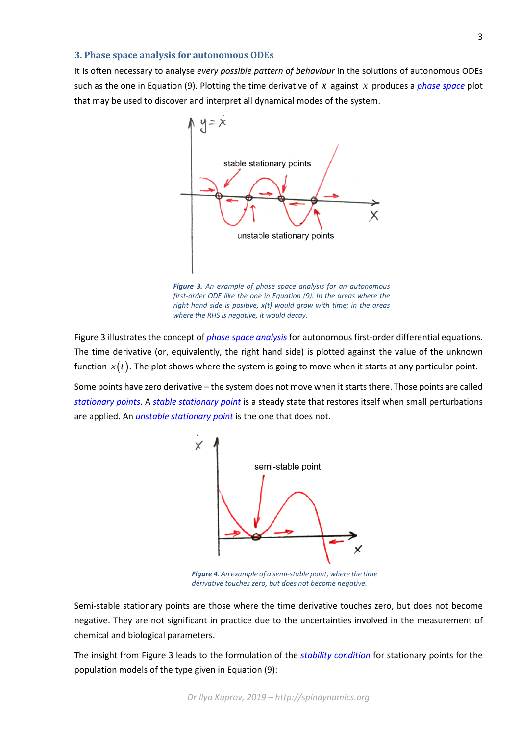# **3. Phase space analysis for autonomous ODEs**

It is often necessary to analyse *every possible pattern of behaviour* in the solutions of autonomous ODEs such as the one in Equation (9). Plotting the time derivative of *x* against *x* produces a *phase space* plot that may be used to discover and interpret all dynamical modes of the system.



*Figure 3. An example of phase space analysis for an autonomous first-order ODE like the one in Equation (9). In the areas where the right hand side is positive, x(t) would grow with time; in the areas where the RHS is negative, it would decay.*

Figure 3 illustrates the concept of *phase space analysis* for autonomous first-order differential equations. The time derivative (or, equivalently, the right hand side) is plotted against the value of the unknown function  $x(t)$ . The plot shows where the system is going to move when it starts at any particular point.

Some points have zero derivative – the system does not move when it starts there. Those points are called *stationary points*. A *stable stationary point* is a steady state that restores itself when small perturbations are applied. An *unstable stationary point* is the one that does not.



*Figure 4. An example of a semi-stable point, where the time derivative touches zero, but does not become negative.*

Semi-stable stationary points are those where the time derivative touches zero, but does not become negative. They are not significant in practice due to the uncertainties involved in the measurement of chemical and biological parameters.

The insight from Figure 3 leads to the formulation of the *stability condition* for stationary points for the population models of the type given in Equation (9):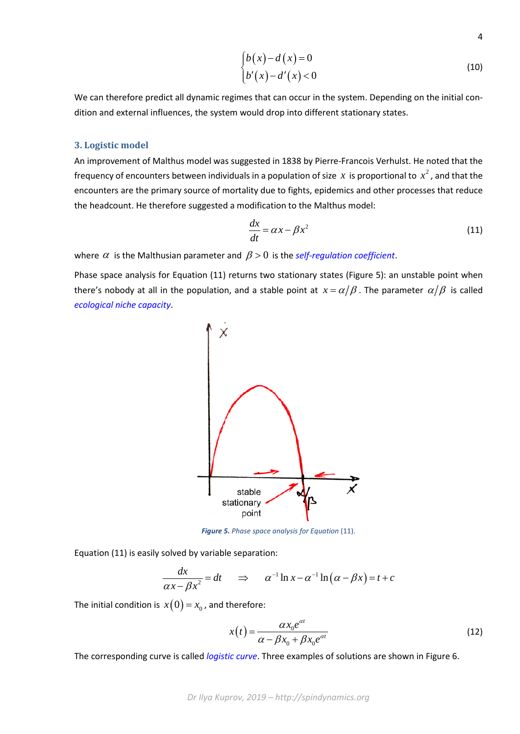$$
\begin{cases} b(x)-d(x)=0\\ b'(x)-d'(x)<0 \end{cases}
$$
\n(10)

We can therefore predict all dynamic regimes that can occur in the system. Depending on the initial condition and external influences, the system would drop into different stationary states.

#### **3. Logistic model**

An improvement of Malthus model was suggested in 1838 by Pierre-Francois Verhulst. He noted that the frequency of encounters between individuals in a population of size  $x$  is proportional to  $x^2$  , and that the encounters are the primary source of mortality due to fights, epidemics and other processes that reduce the headcount. He therefore suggested a modification to the Malthus model:

$$
\frac{dx}{dt} = \alpha x - \beta x^2 \tag{11}
$$

where  $\alpha$  is the Malthusian parameter and  $\beta > 0$  is the *self-regulation coefficient*.

Phase space analysis for Equation (11) returns two stationary states (Figure 5): an unstable point when there's nobody at all in the population, and a stable point at  $x = \alpha/\beta$ . The parameter  $\alpha/\beta$  is called *ecological niche capacity*.



*Figure 5. Phase space analysis for Equation* (11).

Equation (11) is easily solved by variable separation:

$$
\frac{dx}{\alpha x - \beta x^2} = dt \quad \Rightarrow \quad \alpha^{-1} \ln x - \alpha^{-1} \ln (\alpha - \beta x) = t + c
$$

The initial condition is  $x(0) = x_0$ , and therefore:

$$
x(t) = \frac{\alpha x_0 e^{\alpha t}}{\alpha - \beta x_0 + \beta x_0 e^{\alpha t}}
$$
\n(12)

The corresponding curve is called *logistic curve*. Three examples of solutions are shown in Figure 6.

*Dr Ilya Kuprov, 2019 – http://spindynamics.org*